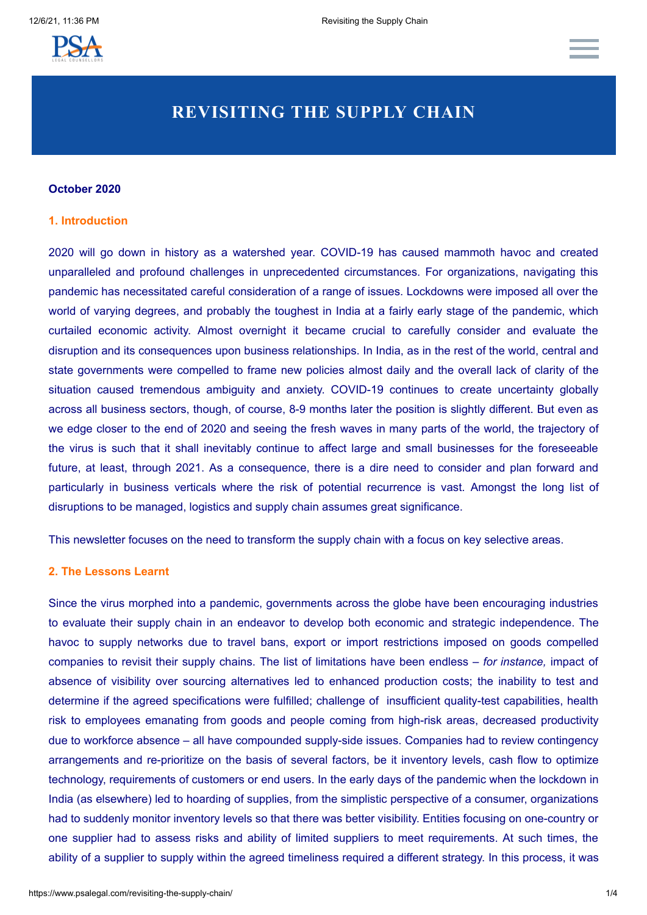

# **REVISITING THE SUPPLY CHAIN**

# **October 2020**

# **1. Introduction**

2020 will go down in history as a watershed year. COVID-19 has caused mammoth havoc and created unparalleled and profound challenges in unprecedented circumstances. For organizations, navigating this pandemic has necessitated careful consideration of a range of issues. Lockdowns were imposed all over the world of varying degrees, and probably the toughest in India at a fairly early stage of the pandemic, which curtailed economic activity. Almost overnight it became crucial to carefully consider and evaluate the disruption and its consequences upon business relationships. In India, as in the rest of the world, central and state governments were compelled to frame new policies almost daily and the overall lack of clarity of the situation caused tremendous ambiguity and anxiety. COVID-19 continues to create uncertainty globally across all business sectors, though, of course, 8-9 months later the position is slightly different. But even as we edge closer to the end of 2020 and seeing the fresh waves in many parts of the world, the trajectory of the virus is such that it shall inevitably continue to affect large and small businesses for the foreseeable future, at least, through 2021. As a consequence, there is a dire need to consider and plan forward and particularly in business verticals where the risk of potential recurrence is vast. Amongst the long list of disruptions to be managed, logistics and supply chain assumes great significance.

This newsletter focuses on the need to transform the supply chain with a focus on key selective areas.

# **2. The Lessons Learnt**

Since the virus morphed into a pandemic, governments across the globe have been encouraging industries to evaluate their supply chain in an endeavor to develop both economic and strategic independence. The havoc to supply networks due to travel bans, export or import restrictions imposed on goods compelled companies to revisit their supply chains. The list of limitations have been endless – *for instance,* impact of absence of visibility over sourcing alternatives led to enhanced production costs; the inability to test and determine if the agreed specifications were fulfilled; challenge of insufficient quality-test capabilities, health risk to employees emanating from goods and people coming from high-risk areas, decreased productivity due to workforce absence – all have compounded supply-side issues. Companies had to review contingency arrangements and re-prioritize on the basis of several factors, be it inventory levels, cash flow to optimize technology, requirements of customers or end users. In the early days of the pandemic when the lockdown in India (as elsewhere) led to hoarding of supplies, from the simplistic perspective of a consumer, organizations had to suddenly monitor inventory levels so that there was better visibility. Entities focusing on one-country or one supplier had to assess risks and ability of limited suppliers to meet requirements. At such times, the ability of a supplier to supply within the agreed timeliness required a different strategy. In this process, it was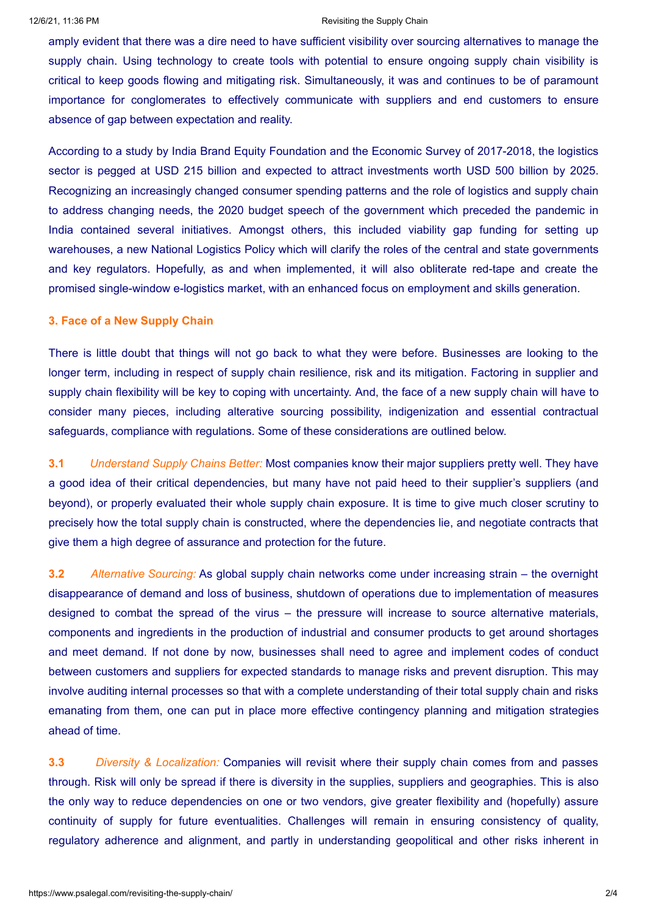#### 12/6/21, 11:36 PM **Review Chain** Revisiting the Supply Chain

amply evident that there was a dire need to have sufficient visibility over sourcing alternatives to manage the supply chain. Using technology to create tools with potential to ensure ongoing supply chain visibility is critical to keep goods flowing and mitigating risk. Simultaneously, it was and continues to be of paramount importance for conglomerates to effectively communicate with suppliers and end customers to ensure absence of gap between expectation and reality.

According to a study by India Brand Equity Foundation and the Economic Survey of 2017-2018, the logistics sector is pegged at USD 215 billion and expected to attract investments worth USD 500 billion by 2025. Recognizing an increasingly changed consumer spending patterns and the role of logistics and supply chain to address changing needs, the 2020 budget speech of the government which preceded the pandemic in India contained several initiatives. Amongst others, this included viability gap funding for setting up warehouses, a new National Logistics Policy which will clarify the roles of the central and state governments and key regulators. Hopefully, as and when implemented, it will also obliterate red-tape and create the promised single-window e-logistics market, with an enhanced focus on employment and skills generation.

# **3. Face of a New Supply Chain**

There is little doubt that things will not go back to what they were before. Businesses are looking to the longer term, including in respect of supply chain resilience, risk and its mitigation. Factoring in supplier and supply chain flexibility will be key to coping with uncertainty. And, the face of a new supply chain will have to consider many pieces, including alterative sourcing possibility, indigenization and essential contractual safeguards, compliance with regulations. Some of these considerations are outlined below.

**3.1** *Understand Supply Chains Better:* Most companies know their major suppliers pretty well. They have a good idea of their critical dependencies, but many have not paid heed to their supplier's suppliers (and beyond), or properly evaluated their whole supply chain exposure. It is time to give much closer scrutiny to precisely how the total supply chain is constructed, where the dependencies lie, and negotiate contracts that give them a high degree of assurance and protection for the future.

**3.2** *Alternative Sourcing:* As global supply chain networks come under increasing strain – the overnight disappearance of demand and loss of business, shutdown of operations due to implementation of measures designed to combat the spread of the virus – the pressure will increase to source alternative materials, components and ingredients in the production of industrial and consumer products to get around shortages and meet demand. If not done by now, businesses shall need to agree and implement codes of conduct between customers and suppliers for expected standards to manage risks and prevent disruption. This may involve auditing internal processes so that with a complete understanding of their total supply chain and risks emanating from them, one can put in place more effective contingency planning and mitigation strategies ahead of time.

**3.3** *Diversity & Localization:* Companies will revisit where their supply chain comes from and passes through. Risk will only be spread if there is diversity in the supplies, suppliers and geographies. This is also the only way to reduce dependencies on one or two vendors, give greater flexibility and (hopefully) assure continuity of supply for future eventualities. Challenges will remain in ensuring consistency of quality, regulatory adherence and alignment, and partly in understanding geopolitical and other risks inherent in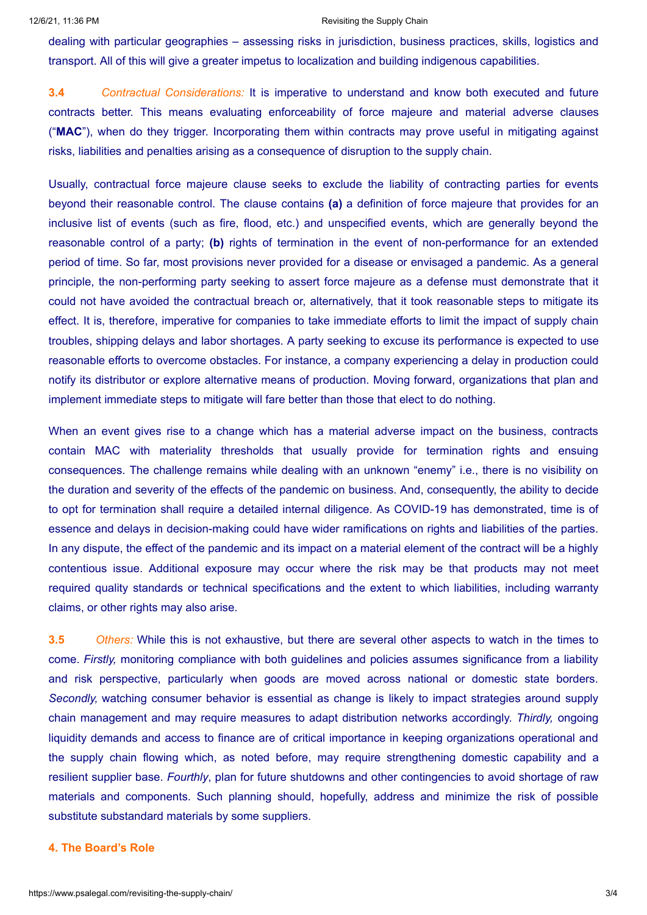#### 12/6/21, 11:36 PM **Revisiting the Supply Chain**

dealing with particular geographies – assessing risks in jurisdiction, business practices, skills, logistics and transport. All of this will give a greater impetus to localization and building indigenous capabilities.

**3.4** *Contractual Considerations:* It is imperative to understand and know both executed and future contracts better. This means evaluating enforceability of force majeure and material adverse clauses ("**MAC**"), when do they trigger. Incorporating them within contracts may prove useful in mitigating against risks, liabilities and penalties arising as a consequence of disruption to the supply chain.

Usually, contractual force majeure clause seeks to exclude the liability of contracting parties for events beyond their reasonable control. The clause contains **(a)** a definition of force majeure that provides for an inclusive list of events (such as fire, flood, etc.) and unspecified events, which are generally beyond the reasonable control of a party; **(b)** rights of termination in the event of non-performance for an extended period of time. So far, most provisions never provided for a disease or envisaged a pandemic. As a general principle, the non-performing party seeking to assert force majeure as a defense must demonstrate that it could not have avoided the contractual breach or, alternatively, that it took reasonable steps to mitigate its effect. It is, therefore, imperative for companies to take immediate efforts to limit the impact of supply chain troubles, shipping delays and labor shortages. A party seeking to excuse its performance is expected to use reasonable efforts to overcome obstacles. For instance, a company experiencing a delay in production could notify its distributor or explore alternative means of production. Moving forward, organizations that plan and implement immediate steps to mitigate will fare better than those that elect to do nothing.

When an event gives rise to a change which has a material adverse impact on the business, contracts contain MAC with materiality thresholds that usually provide for termination rights and ensuing consequences. The challenge remains while dealing with an unknown "enemy" i.e., there is no visibility on the duration and severity of the effects of the pandemic on business. And, consequently, the ability to decide to opt for termination shall require a detailed internal diligence. As COVID-19 has demonstrated, time is of essence and delays in decision-making could have wider ramifications on rights and liabilities of the parties. In any dispute, the effect of the pandemic and its impact on a material element of the contract will be a highly contentious issue. Additional exposure may occur where the risk may be that products may not meet required quality standards or technical specifications and the extent to which liabilities, including warranty claims, or other rights may also arise.

**3.5** *Others:* While this is not exhaustive, but there are several other aspects to watch in the times to come. *Firstly,* monitoring compliance with both guidelines and policies assumes significance from a liability and risk perspective, particularly when goods are moved across national or domestic state borders. *Secondly,* watching consumer behavior is essential as change is likely to impact strategies around supply chain management and may require measures to adapt distribution networks accordingly. *Thirdly,* ongoing liquidity demands and access to finance are of critical importance in keeping organizations operational and the supply chain flowing which, as noted before, may require strengthening domestic capability and a resilient supplier base. *Fourthly*, plan for future shutdowns and other contingencies to avoid shortage of raw materials and components. Such planning should, hopefully, address and minimize the risk of possible substitute substandard materials by some suppliers.

### **4. The Board's Role**